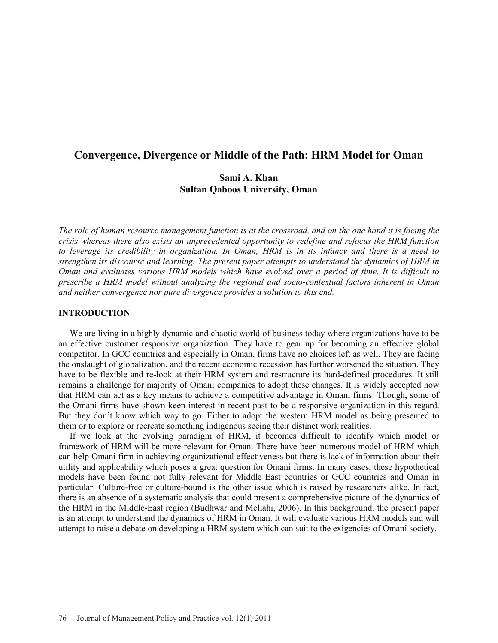# **Convergence, Divergence or Middle of the Path: HRM Model for Oman**

# **Sami A. Khan Sultan Qaboos University, Oman**

*The role of human resource management function is at the crossroad, and on the one hand it is facing the crisis whereas there also exists an unprecedented opportunity to redefine and refocus the HRM function to leverage its credibility in organization. In Oman, HRM is in its infancy and there is a need to strengthen its discourse and learning. The present paper attempts to understand the dynamics of HRM in Oman and evaluates various HRM models which have evolved over a period of time. It is difficult to prescribe a HRM model without analyzing the regional and socio-contextual factors inherent in Oman and neither convergence nor pure divergence provides a solution to this end.* 

#### **INTRODUCTION**

We are living in a highly dynamic and chaotic world of business today where organizations have to be an effective customer responsive organization. They have to gear up for becoming an effective global competitor. In GCC countries and especially in Oman, firms have no choices left as well. They are facing the onslaught of globalization, and the recent economic recession has further worsened the situation. They have to be flexible and re-look at their HRM system and restructure its hard-defined procedures. It still remains a challenge for majority of Omani companies to adopt these changes. It is widely accepted now that HRM can act as a key means to achieve a competitive advantage in Omani firms. Though, some of the Omani firms have shown keen interest in recent past to be a responsive organization in this regard. But they don't know which way to go. Either to adopt the western HRM model as being presented to them or to explore or recreate something indigenous seeing their distinct work realities.

If we look at the evolving paradigm of HRM, it becomes difficult to identify which model or framework of HRM will be more relevant for Oman. There have been numerous model of HRM which can help Omani firm in achieving organizational effectiveness but there is lack of information about their utility and applicability which poses a great question for Omani firms. In many cases, these hypothetical models have been found not fully relevant for Middle East countries or GCC countries and Oman in particular. Culture-free or culture-bound is the other issue which is raised by researchers alike. In fact, there is an absence of a systematic analysis that could present a comprehensive picture of the dynamics of the HRM in the Middle-East region (Budhwar and Mellahi, 2006). In this background, the present paper is an attempt to understand the dynamics of HRM in Oman. It will evaluate various HRM models and will attempt to raise a debate on developing a HRM system which can suit to the exigencies of Omani society.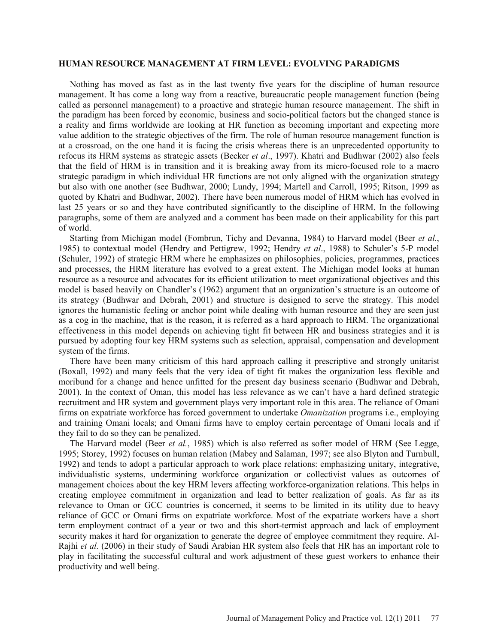#### **HUMAN RESOURCE MANAGEMENT AT FIRM LEVEL: EVOLVING PARADIGMS**

Nothing has moved as fast as in the last twenty five years for the discipline of human resource management. It has come a long way from a reactive, bureaucratic people management function (being called as personnel management) to a proactive and strategic human resource management. The shift in the paradigm has been forced by economic, business and socio-political factors but the changed stance is a reality and firms worldwide are looking at HR function as becoming important and expecting more value addition to the strategic objectives of the firm. The role of human resource management function is at a crossroad, on the one hand it is facing the crisis whereas there is an unprecedented opportunity to refocus its HRM systems as strategic assets (Becker *et al*., 1997). Khatri and Budhwar (2002) also feels that the field of HRM is in transition and it is breaking away from its micro-focused role to a macro strategic paradigm in which individual HR functions are not only aligned with the organization strategy but also with one another (see Budhwar, 2000; Lundy, 1994; Martell and Carroll, 1995; Ritson, 1999 as quoted by Khatri and Budhwar, 2002). There have been numerous model of HRM which has evolved in last 25 years or so and they have contributed significantly to the discipline of HRM. In the following paragraphs, some of them are analyzed and a comment has been made on their applicability for this part of world.

Starting from Michigan model (Fombrun, Tichy and Devanna, 1984) to Harvard model (Beer *et al.*, 1985) to contextual model (Hendry and Pettigrew, 1992; Hendry *et al*., 1988) to Schuler's 5-P model (Schuler, 1992) of strategic HRM where he emphasizes on philosophies, policies, programmes, practices and processes, the HRM literature has evolved to a great extent. The Michigan model looks at human resource as a resource and advocates for its efficient utilization to meet organizational objectives and this model is based heavily on Chandler's (1962) argument that an organization's structure is an outcome of its strategy (Budhwar and Debrah, 2001) and structure is designed to serve the strategy. This model ignores the humanistic feeling or anchor point while dealing with human resource and they are seen just as a cog in the machine, that is the reason, it is referred as a hard approach to HRM. The organizational effectiveness in this model depends on achieving tight fit between HR and business strategies and it is pursued by adopting four key HRM systems such as selection, appraisal, compensation and development system of the firms.

There have been many criticism of this hard approach calling it prescriptive and strongly unitarist (Boxall, 1992) and many feels that the very idea of tight fit makes the organization less flexible and moribund for a change and hence unfitted for the present day business scenario (Budhwar and Debrah, 2001). In the context of Oman, this model has less relevance as we can't have a hard defined strategic recruitment and HR system and government plays very important role in this area. The reliance of Omani firms on expatriate workforce has forced government to undertake *Omanization* programs i.e., employing and training Omani locals; and Omani firms have to employ certain percentage of Omani locals and if they fail to do so they can be penalized.

The Harvard model (Beer *et al.*, 1985) which is also referred as softer model of HRM (See Legge, 1995; Storey, 1992) focuses on human relation (Mabey and Salaman, 1997; see also Blyton and Turnbull, 1992) and tends to adopt a particular approach to work place relations: emphasizing unitary, integrative, individualistic systems, undermining workforce organization or collectivist values as outcomes of management choices about the key HRM levers affecting workforce-organization relations. This helps in creating employee commitment in organization and lead to better realization of goals. As far as its relevance to Oman or GCC countries is concerned, it seems to be limited in its utility due to heavy reliance of GCC or Omani firms on expatriate workforce. Most of the expatriate workers have a short term employment contract of a year or two and this short-termist approach and lack of employment security makes it hard for organization to generate the degree of employee commitment they require. Al-Rajhi *et al.* (2006) in their study of Saudi Arabian HR system also feels that HR has an important role to play in facilitating the successful cultural and work adjustment of these guest workers to enhance their productivity and well being.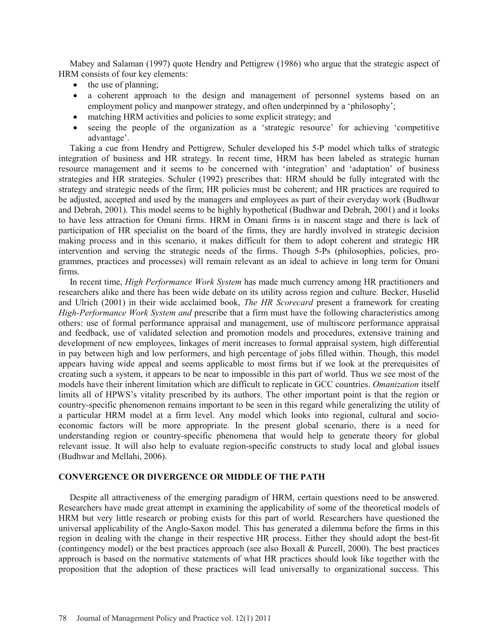Mabey and Salaman (1997) quote Hendry and Pettigrew (1986) who argue that the strategic aspect of HRM consists of four key elements:

- the use of planning;
- a coherent approach to the design and management of personnel systems based on an employment policy and manpower strategy, and often underpinned by a 'philosophy';
- matching HRM activities and policies to some explicit strategy; and
- seeing the people of the organization as a 'strategic resource' for achieving 'competitive advantage'.

Taking a cue from Hendry and Pettigrew, Schuler developed his 5-P model which talks of strategic integration of business and HR strategy. In recent time, HRM has been labeled as strategic human resource management and it seems to be concerned with 'integration' and 'adaptation' of business strategies and HR strategies. Schuler (1992) prescribes that: HRM should be fully integrated with the strategy and strategic needs of the firm; HR policies must be coherent; and HR practices are required to be adjusted, accepted and used by the managers and employees as part of their everyday work (Budhwar and Debrah, 2001). This model seems to be highly hypothetical (Budhwar and Debrah, 2001) and it looks to have less attraction for Omani firms. HRM in Omani firms is in nascent stage and there is lack of participation of HR specialist on the board of the firms, they are hardly involved in strategic decision making process and in this scenario, it makes difficult for them to adopt coherent and strategic HR intervention and serving the strategic needs of the firms. Though 5-Ps (philosophies, policies, programmes, practices and processes) will remain relevant as an ideal to achieve in long term for Omani firms.

In recent time, *High Performance Work System* has made much currency among HR practitioners and researchers alike and there has been wide debate on its utility across region and culture. Becker, Huselid and Ulrich (2001) in their wide acclaimed book, *The HR Scorecard* present a framework for creating *High-Performance Work System and* prescribe that a firm must have the following characteristics among others: use of formal performance appraisal and management, use of multiscore performance appraisal and feedback, use of validated selection and promotion models and procedures, extensive training and development of new employees, linkages of merit increases to formal appraisal system, high differential in pay between high and low performers, and high percentage of jobs filled within. Though, this model appears having wide appeal and seems applicable to most firms but if we look at the prerequisites of creating such a system, it appears to be near to impossible in this part of world. Thus we see most of the models have their inherent limitation which are difficult to replicate in GCC countries. *Omanization* itself limits all of HPWS's vitality prescribed by its authors. The other important point is that the region or country-specific phenomenon remains important to be seen in this regard while generalizing the utility of a particular HRM model at a firm level. Any model which looks into regional, cultural and socioeconomic factors will be more appropriate. In the present global scenario, there is a need for understanding region or country-specific phenomena that would help to generate theory for global relevant issue. It will also help to evaluate region-specific constructs to study local and global issues (Budhwar and Mellahi, 2006).

#### **CONVERGENCE OR DIVERGENCE OR MIDDLE OF THE PATH**

Despite all attractiveness of the emerging paradigm of HRM, certain questions need to be answered. Researchers have made great attempt in examining the applicability of some of the theoretical models of HRM but very little research or probing exists for this part of world. Researchers have questioned the universal applicability of the Anglo-Saxon model. This has generated a dilemma before the firms in this region in dealing with the change in their respective HR process. Either they should adopt the best-fit (contingency model) or the best practices approach (see also Boxall & Purcell, 2000). The best practices approach is based on the normative statements of what HR practices should look like together with the proposition that the adoption of these practices will lead universally to organizational success. This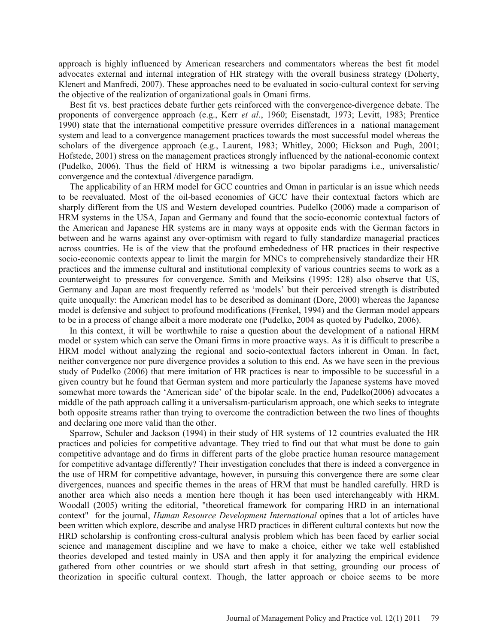approach is highly influenced by American researchers and commentators whereas the best fit model advocates external and internal integration of HR strategy with the overall business strategy (Doherty, Klenert and Manfredi, 2007). These approaches need to be evaluated in socio-cultural context for serving the objective of the realization of organizational goals in Omani firms.

Best fit vs. best practices debate further gets reinforced with the convergence-divergence debate. The proponents of convergence approach (e.g., Kerr *et al*., 1960; Eisenstadt, 1973; Levitt, 1983; Prentice 1990) state that the international competitive pressure overrides differences in a national management system and lead to a convergence management practices towards the most successful model whereas the scholars of the divergence approach (e.g., Laurent, 1983; Whitley, 2000; Hickson and Pugh, 2001; Hofstede, 2001) stress on the management practices strongly influenced by the national-economic context (Pudelko, 2006). Thus the field of HRM is witnessing a two bipolar paradigms i.e., universalistic/ convergence and the contextual /divergence paradigm.

The applicability of an HRM model for GCC countries and Oman in particular is an issue which needs to be reevaluated. Most of the oil-based economies of GCC have their contextual factors which are sharply different from the US and Western developed countries. Pudelko (2006) made a comparison of HRM systems in the USA, Japan and Germany and found that the socio-economic contextual factors of the American and Japanese HR systems are in many ways at opposite ends with the German factors in between and he warns against any over-optimism with regard to fully standardize managerial practices across countries. He is of the view that the profound embededness of HR practices in their respective socio-economic contexts appear to limit the margin for MNCs to comprehensively standardize their HR practices and the immense cultural and institutional complexity of various countries seems to work as a counterweight to pressures for convergence. Smith and Meiksins (1995: 128) also observe that US, Germany and Japan are most frequently referred as 'models' but their perceived strength is distributed quite unequally: the American model has to be described as dominant (Dore, 2000) whereas the Japanese model is defensive and subject to profound modifications (Frenkel, 1994) and the German model appears to be in a process of change albeit a more moderate one (Pudelko, 2004 as quoted by Pudelko, 2006).

In this context, it will be worthwhile to raise a question about the development of a national HRM model or system which can serve the Omani firms in more proactive ways. As it is difficult to prescribe a HRM model without analyzing the regional and socio-contextual factors inherent in Oman. In fact, neither convergence nor pure divergence provides a solution to this end. As we have seen in the previous study of Pudelko (2006) that mere imitation of HR practices is near to impossible to be successful in a given country but he found that German system and more particularly the Japanese systems have moved somewhat more towards the 'American side' of the bipolar scale. In the end, Pudelko(2006) advocates a middle of the path approach calling it a universalism-particularism approach, one which seeks to integrate both opposite streams rather than trying to overcome the contradiction between the two lines of thoughts and declaring one more valid than the other.

Sparrow, Schuler and Jackson (1994) in their study of HR systems of 12 countries evaluated the HR practices and policies for competitive advantage. They tried to find out that what must be done to gain competitive advantage and do firms in different parts of the globe practice human resource management for competitive advantage differently? Their investigation concludes that there is indeed a convergence in the use of HRM for competitive advantage, however, in pursuing this convergence there are some clear divergences, nuances and specific themes in the areas of HRM that must be handled carefully. HRD is another area which also needs a mention here though it has been used interchangeably with HRM. Woodall (2005) writing the editorial, "theoretical framework for comparing HRD in an international context" for the journal, *Human Resource Development International* opines that a lot of articles have been written which explore, describe and analyse HRD practices in different cultural contexts but now the HRD scholarship is confronting cross-cultural analysis problem which has been faced by earlier social science and management discipline and we have to make a choice, either we take well established theories developed and tested mainly in USA and then apply it for analyzing the empirical evidence gathered from other countries or we should start afresh in that setting, grounding our process of theorization in specific cultural context. Though, the latter approach or choice seems to be more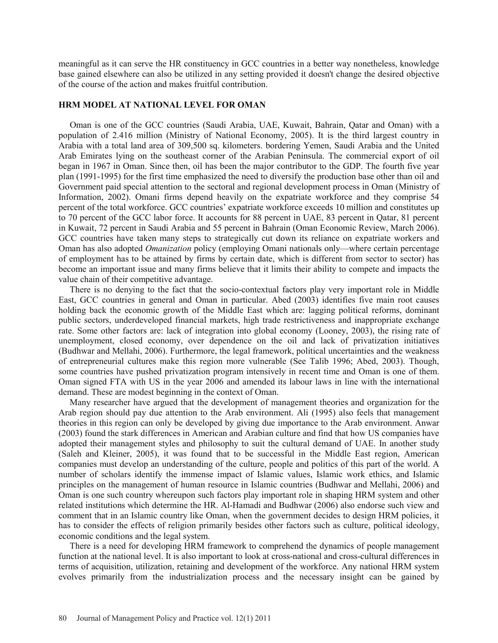meaningful as it can serve the HR constituency in GCC countries in a better way nonetheless, knowledge base gained elsewhere can also be utilized in any setting provided it doesn't change the desired objective of the course of the action and makes fruitful contribution.

#### **HRM MODEL AT NATIONAL LEVEL FOR OMAN**

Oman is one of the GCC countries (Saudi Arabia, UAE, Kuwait, Bahrain, Qatar and Oman) with a population of 2.416 million (Ministry of National Economy, 2005). It is the third largest country in Arabia with a total land area of 309,500 sq. kilometers. bordering Yemen, Saudi Arabia and the United Arab Emirates lying on the southeast corner of the Arabian Peninsula. The commercial export of oil began in 1967 in Oman. Since then, oil has been the major contributor to the GDP. The fourth five year plan (1991-1995) for the first time emphasized the need to diversify the production base other than oil and Government paid special attention to the sectoral and regional development process in Oman (Ministry of Information, 2002). Omani firms depend heavily on the expatriate workforce and they comprise 54 percent of the total workforce. GCC countries' expatriate workforce exceeds 10 million and constitutes up to 70 percent of the GCC labor force. It accounts for 88 percent in UAE, 83 percent in Qatar, 81 percent in Kuwait, 72 percent in Saudi Arabia and 55 percent in Bahrain (Oman Economic Review, March 2006). GCC countries have taken many steps to strategically cut down its reliance on expatriate workers and Oman has also adopted *Omanization* policy (employing Omani nationals only—where certain percentage of employment has to be attained by firms by certain date, which is different from sector to sector) has become an important issue and many firms believe that it limits their ability to compete and impacts the value chain of their competitive advantage.

There is no denying to the fact that the socio-contextual factors play very important role in Middle East, GCC countries in general and Oman in particular. Abed (2003) identifies five main root causes holding back the economic growth of the Middle East which are: lagging political reforms, dominant public sectors, underdeveloped financial markets, high trade restrictiveness and inappropriate exchange rate. Some other factors are: lack of integration into global economy (Looney, 2003), the rising rate of unemployment, closed economy, over dependence on the oil and lack of privatization initiatives (Budhwar and Mellahi, 2006). Furthermore, the legal framework, political uncertainties and the weakness of entrepreneurial cultures make this region more vulnerable (See Talib 1996; Abed, 2003). Though, some countries have pushed privatization program intensively in recent time and Oman is one of them. Oman signed FTA with US in the year 2006 and amended its labour laws in line with the international demand. These are modest beginning in the context of Oman.

Many researcher have argued that the development of management theories and organization for the Arab region should pay due attention to the Arab environment. Ali (1995) also feels that management theories in this region can only be developed by giving due importance to the Arab environment. Anwar (2003) found the stark differences in American and Arabian culture and find that how US companies have adopted their management styles and philosophy to suit the cultural demand of UAE. In another study (Saleh and Kleiner, 2005), it was found that to be successful in the Middle East region, American companies must develop an understanding of the culture, people and politics of this part of the world. A number of scholars identify the immense impact of Islamic values, Islamic work ethics, and Islamic principles on the management of human resource in Islamic countries (Budhwar and Mellahi, 2006) and Oman is one such country whereupon such factors play important role in shaping HRM system and other related institutions which determine the HR. Al-Hamadi and Budhwar (2006) also endorse such view and comment that in an Islamic country like Oman, when the government decides to design HRM policies, it has to consider the effects of religion primarily besides other factors such as culture, political ideology, economic conditions and the legal system.

There is a need for developing HRM framework to comprehend the dynamics of people management function at the national level. It is also important to look at cross-national and cross-cultural differences in terms of acquisition, utilization, retaining and development of the workforce. Any national HRM system evolves primarily from the industrialization process and the necessary insight can be gained by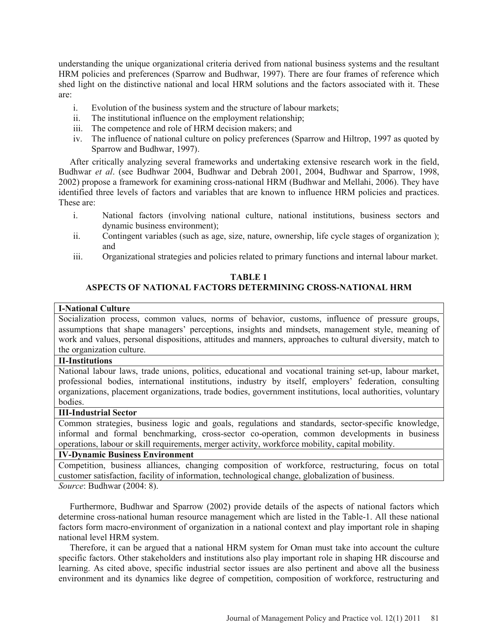understanding the unique organizational criteria derived from national business systems and the resultant HRM policies and preferences (Sparrow and Budhwar, 1997). There are four frames of reference which shed light on the distinctive national and local HRM solutions and the factors associated with it. These are:

- i. Evolution of the business system and the structure of labour markets;
- ii. The institutional influence on the employment relationship;
- iii. The competence and role of HRM decision makers; and
- iv. The influence of national culture on policy preferences (Sparrow and Hiltrop, 1997 as quoted by Sparrow and Budhwar, 1997).

After critically analyzing several frameworks and undertaking extensive research work in the field, Budhwar *et al*. (see Budhwar 2004, Budhwar and Debrah 2001, 2004, Budhwar and Sparrow, 1998, 2002) propose a framework for examining cross-national HRM (Budhwar and Mellahi, 2006). They have identified three levels of factors and variables that are known to influence HRM policies and practices. These are:

- i. National factors (involving national culture, national institutions, business sectors and dynamic business environment);
- ii. Contingent variables (such as age, size, nature, ownership, life cycle stages of organization ); and
- iii. Organizational strategies and policies related to primary functions and internal labour market.

# **TABLE 1 ASPECTS OF NATIONAL FACTORS DETERMINING CROSS-NATIONAL HRM**

#### **I-National Culture**

Socialization process, common values, norms of behavior, customs, influence of pressure groups, assumptions that shape managers' perceptions, insights and mindsets, management style, meaning of work and values, personal dispositions, attitudes and manners, approaches to cultural diversity, match to the organization culture.

## **II-Institutions**

National labour laws, trade unions, politics, educational and vocational training set-up, labour market, professional bodies, international institutions, industry by itself, employers' federation, consulting organizations, placement organizations, trade bodies, government institutions, local authorities, voluntary bodies.

## **III-Industrial Sector**

Common strategies, business logic and goals, regulations and standards, sector-specific knowledge, informal and formal benchmarking, cross-sector co-operation, common developments in business operations, labour or skill requirements, merger activity, workforce mobility, capital mobility.

## **IV-Dynamic Business Environment**

Competition, business alliances, changing composition of workforce, restructuring, focus on total customer satisfaction, facility of information, technological change, globalization of business. *Source*: Budhwar (2004: 8).

Furthermore, Budhwar and Sparrow (2002) provide details of the aspects of national factors which determine cross-national human resource management which are listed in the Table-1. All these national factors form macro-environment of organization in a national context and play important role in shaping national level HRM system.

Therefore, it can be argued that a national HRM system for Oman must take into account the culture specific factors. Other stakeholders and institutions also play important role in shaping HR discourse and learning. As cited above, specific industrial sector issues are also pertinent and above all the business environment and its dynamics like degree of competition, composition of workforce, restructuring and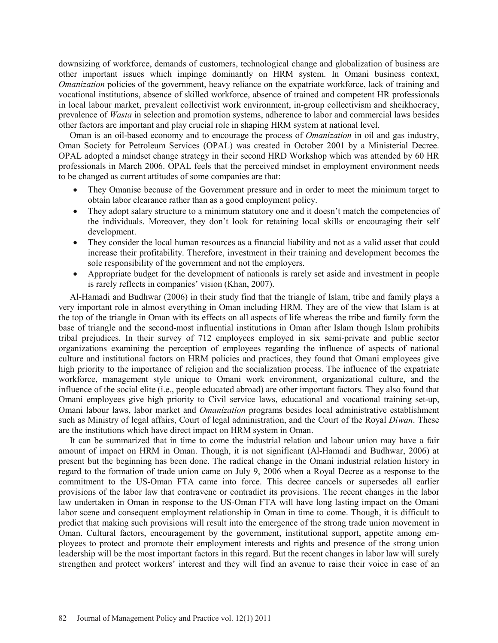downsizing of workforce, demands of customers, technological change and globalization of business are other important issues which impinge dominantly on HRM system. In Omani business context, *Omanization* policies of the government, heavy reliance on the expatriate workforce, lack of training and vocational institutions, absence of skilled workforce, absence of trained and competent HR professionals in local labour market, prevalent collectivist work environment, in-group collectivism and sheikhocracy, prevalence of *Wasta* in selection and promotion systems, adherence to labor and commercial laws besides other factors are important and play crucial role in shaping HRM system at national level.

Oman is an oil-based economy and to encourage the process of *Omanization* in oil and gas industry, Oman Society for Petroleum Services (OPAL) was created in October 2001 by a Ministerial Decree. OPAL adopted a mindset change strategy in their second HRD Workshop which was attended by 60 HR professionals in March 2006. OPAL feels that the perceived mindset in employment environment needs to be changed as current attitudes of some companies are that:

- x They Omanise because of the Government pressure and in order to meet the minimum target to obtain labor clearance rather than as a good employment policy.
- They adopt salary structure to a minimum statutory one and it doesn't match the competencies of the individuals. Moreover, they don't look for retaining local skills or encouraging their self development.
- They consider the local human resources as a financial liability and not as a valid asset that could increase their profitability. Therefore, investment in their training and development becomes the sole responsibility of the government and not the employers.
- x Appropriate budget for the development of nationals is rarely set aside and investment in people is rarely reflects in companies' vision (Khan, 2007).

Al-Hamadi and Budhwar (2006) in their study find that the triangle of Islam, tribe and family plays a very important role in almost everything in Oman including HRM. They are of the view that Islam is at the top of the triangle in Oman with its effects on all aspects of life whereas the tribe and family form the base of triangle and the second-most influential institutions in Oman after Islam though Islam prohibits tribal prejudices. In their survey of 712 employees employed in six semi-private and public sector organizations examining the perception of employees regarding the influence of aspects of national culture and institutional factors on HRM policies and practices, they found that Omani employees give high priority to the importance of religion and the socialization process. The influence of the expatriate workforce, management style unique to Omani work environment, organizational culture, and the influence of the social elite (i.e., people educated abroad) are other important factors. They also found that Omani employees give high priority to Civil service laws, educational and vocational training set-up, Omani labour laws, labor market and *Omanization* programs besides local administrative establishment such as Ministry of legal affairs, Court of legal administration, and the Court of the Royal *Diwan*. These are the institutions which have direct impact on HRM system in Oman.

It can be summarized that in time to come the industrial relation and labour union may have a fair amount of impact on HRM in Oman. Though, it is not significant (Al-Hamadi and Budhwar, 2006) at present but the beginning has been done. The radical change in the Omani industrial relation history in regard to the formation of trade union came on July 9, 2006 when a Royal Decree as a response to the commitment to the US-Oman FTA came into force. This decree cancels or supersedes all earlier provisions of the labor law that contravene or contradict its provisions. The recent changes in the labor law undertaken in Oman in response to the US-Oman FTA will have long lasting impact on the Omani labor scene and consequent employment relationship in Oman in time to come. Though, it is difficult to predict that making such provisions will result into the emergence of the strong trade union movement in Oman. Cultural factors, encouragement by the government, institutional support, appetite among employees to protect and promote their employment interests and rights and presence of the strong union leadership will be the most important factors in this regard. But the recent changes in labor law will surely strengthen and protect workers' interest and they will find an avenue to raise their voice in case of an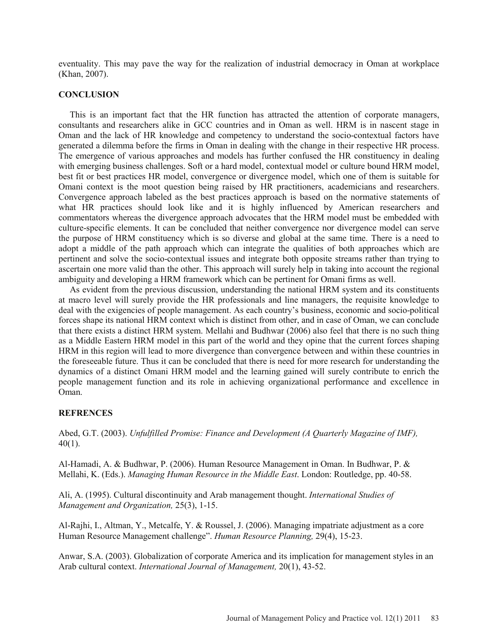eventuality. This may pave the way for the realization of industrial democracy in Oman at workplace (Khan, 2007).

#### **CONCLUSION**

This is an important fact that the HR function has attracted the attention of corporate managers, consultants and researchers alike in GCC countries and in Oman as well. HRM is in nascent stage in Oman and the lack of HR knowledge and competency to understand the socio-contextual factors have generated a dilemma before the firms in Oman in dealing with the change in their respective HR process. The emergence of various approaches and models has further confused the HR constituency in dealing with emerging business challenges. Soft or a hard model, contextual model or culture bound HRM model, best fit or best practices HR model, convergence or divergence model, which one of them is suitable for Omani context is the moot question being raised by HR practitioners, academicians and researchers. Convergence approach labeled as the best practices approach is based on the normative statements of what HR practices should look like and it is highly influenced by American researchers and commentators whereas the divergence approach advocates that the HRM model must be embedded with culture-specific elements. It can be concluded that neither convergence nor divergence model can serve the purpose of HRM constituency which is so diverse and global at the same time. There is a need to adopt a middle of the path approach which can integrate the qualities of both approaches which are pertinent and solve the socio-contextual issues and integrate both opposite streams rather than trying to ascertain one more valid than the other. This approach will surely help in taking into account the regional ambiguity and developing a HRM framework which can be pertinent for Omani firms as well.

As evident from the previous discussion, understanding the national HRM system and its constituents at macro level will surely provide the HR professionals and line managers, the requisite knowledge to deal with the exigencies of people management. As each country's business, economic and socio-political forces shape its national HRM context which is distinct from other, and in case of Oman, we can conclude that there exists a distinct HRM system. Mellahi and Budhwar (2006) also feel that there is no such thing as a Middle Eastern HRM model in this part of the world and they opine that the current forces shaping HRM in this region will lead to more divergence than convergence between and within these countries in the foreseeable future. Thus it can be concluded that there is need for more research for understanding the dynamics of a distinct Omani HRM model and the learning gained will surely contribute to enrich the people management function and its role in achieving organizational performance and excellence in Oman.

#### **REFRENCES**

Abed, G.T. (2003). *Unfulfilled Promise: Finance and Development (A Quarterly Magazine of IMF),*  40(1).

Al-Hamadi, A. & Budhwar, P. (2006). Human Resource Management in Oman. In Budhwar, P. & Mellahi, K. (Eds.). *Managing Human Resource in the Middle East*. London: Routledge, pp. 40-58.

Ali, A. (1995). Cultural discontinuity and Arab management thought. *International Studies of Management and Organization,* 25(3), 1-15.

Al-Rajhi, I., Altman, Y., Metcalfe, Y. & Roussel, J. (2006). Managing impatriate adjustment as a core Human Resource Management challenge". *Human Resource Planning,* 29(4), 15-23.

Anwar, S.A. (2003). Globalization of corporate America and its implication for management styles in an Arab cultural context. *International Journal of Management,* 20(1), 43-52.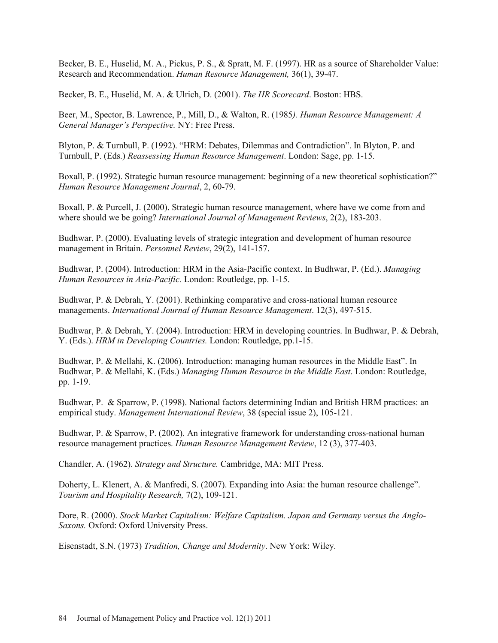Becker, B. E., Huselid, M. A., Pickus, P. S., & Spratt, M. F. (1997). HR as a source of Shareholder Value: Research and Recommendation. *Human Resource Management,* 36(1), 39-47.

Becker, B. E., Huselid, M. A. & Ulrich, D. (2001). *The HR Scorecard*. Boston: HBS.

Beer, M., Spector, B. Lawrence, P., Mill, D., & Walton, R. (1985*). Human Resource Management: A General Manager's Perspective.* NY: Free Press.

Blyton, P. & Turnbull, P. (1992). "HRM: Debates, Dilemmas and Contradiction". In Blyton, P. and Turnbull, P. (Eds.) *Reassessing Human Resource Management*. London: Sage, pp. 1-15.

Boxall, P. (1992). Strategic human resource management: beginning of a new theoretical sophistication?" *Human Resource Management Journal*, 2, 60-79.

Boxall, P. & Purcell, J. (2000). Strategic human resource management, where have we come from and where should we be going? *International Journal of Management Reviews*, 2(2), 183-203.

Budhwar, P. (2000). Evaluating levels of strategic integration and development of human resource management in Britain. *Personnel Review*, 29(2), 141-157.

Budhwar, P. (2004). Introduction: HRM in the Asia-Pacific context. In Budhwar, P. (Ed.). *Managing Human Resources in Asia-Pacific.* London: Routledge, pp. 1-15.

Budhwar, P. & Debrah, Y. (2001). Rethinking comparative and cross-national human resource managements. *International Journal of Human Resource Management*. 12(3), 497-515.

Budhwar, P. & Debrah, Y. (2004). Introduction: HRM in developing countries. In Budhwar, P. & Debrah, Y. (Eds.). *HRM in Developing Countries.* London: Routledge, pp.1-15.

Budhwar, P. & Mellahi, K. (2006). Introduction: managing human resources in the Middle East". In Budhwar, P. & Mellahi, K. (Eds.) *Managing Human Resource in the Middle East*. London: Routledge, pp. 1-19.

Budhwar, P. & Sparrow, P. (1998). National factors determining Indian and British HRM practices: an empirical study. *Management International Review*, 38 (special issue 2), 105-121.

Budhwar, P. & Sparrow, P. (2002). An integrative framework for understanding cross-national human resource management practices. *Human Resource Management Review*, 12 (3), 377-403.

Chandler, A. (1962). *Strategy and Structure.* Cambridge, MA: MIT Press.

Doherty, L. Klenert, A. & Manfredi, S. (2007). Expanding into Asia: the human resource challenge". *Tourism and Hospitality Research,* 7(2), 109-121.

Dore, R. (2000). *Stock Market Capitalism: Welfare Capitalism. Japan and Germany versus the Anglo-Saxons.* Oxford: Oxford University Press.

Eisenstadt, S.N. (1973) *Tradition, Change and Modernity*. New York: Wiley.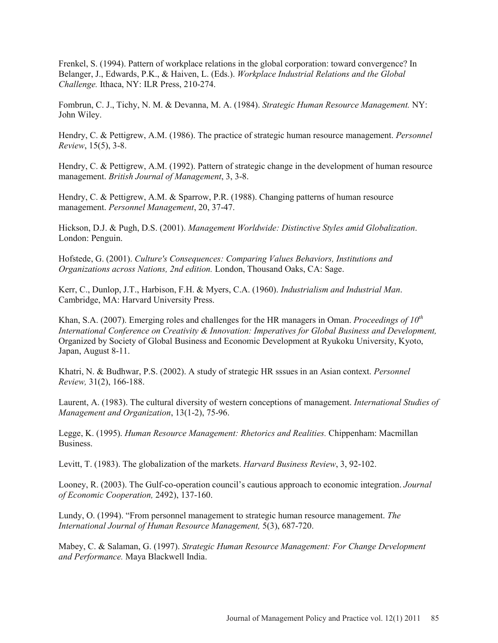Frenkel, S. (1994). Pattern of workplace relations in the global corporation: toward convergence? In Belanger, J., Edwards, P.K., & Haiven, L. (Eds.). *Workplace Industrial Relations and the Global Challenge.* Ithaca, NY: ILR Press, 210-274.

Fombrun, C. J., Tichy, N. M. & Devanna, M. A. (1984). *Strategic Human Resource Management.* NY: John Wiley.

Hendry, C. & Pettigrew, A.M. (1986). The practice of strategic human resource management. *Personnel Review*, 15(5), 3-8.

Hendry, C. & Pettigrew, A.M. (1992). Pattern of strategic change in the development of human resource management. *British Journal of Management*, 3, 3-8.

Hendry, C. & Pettigrew, A.M. & Sparrow, P.R. (1988). Changing patterns of human resource management. *Personnel Management*, 20, 37-47.

Hickson, D.J. & Pugh, D.S. (2001). *Management Worldwide: Distinctive Styles amid Globalization*. London: Penguin.

Hofstede, G. (2001). *Culture's Consequences: Comparing Values Behaviors, Institutions and Organizations across Nations, 2nd edition.* London, Thousand Oaks, CA: Sage.

Kerr, C., Dunlop, J.T., Harbison, F.H. & Myers, C.A. (1960). *Industrialism and Industrial Man*. Cambridge, MA: Harvard University Press.

Khan, S.A. (2007). Emerging roles and challenges for the HR managers in Oman. *Proceedings of 10<sup>th</sup> International Conference on Creativity & Innovation: Imperatives for Global Business and Development,* Organized by Society of Global Business and Economic Development at Ryukoku University, Kyoto, Japan, August 8-11.

Khatri, N. & Budhwar, P.S. (2002). A study of strategic HR sssues in an Asian context. *Personnel Review,* 31(2), 166-188.

Laurent, A. (1983). The cultural diversity of western conceptions of management. *International Studies of Management and Organization*, 13(1-2), 75-96.

Legge, K. (1995). *Human Resource Management: Rhetorics and Realities.* Chippenham: Macmillan Business.

Levitt, T. (1983). The globalization of the markets. *Harvard Business Review*, 3, 92-102.

Looney, R. (2003). The Gulf-co-operation council's cautious approach to economic integration. *Journal of Economic Cooperation,* 2492), 137-160.

Lundy, O. (1994). "From personnel management to strategic human resource management. *The International Journal of Human Resource Management,* 5(3), 687-720.

Mabey, C. & Salaman, G. (1997). *Strategic Human Resource Management: For Change Development and Performance.* Maya Blackwell India.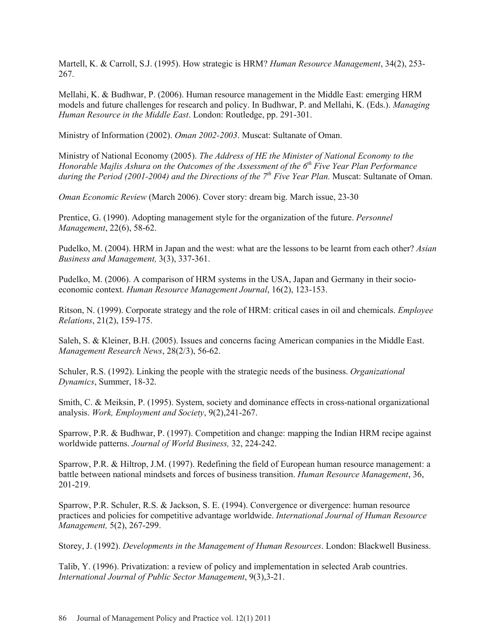Martell, K. & Carroll, S.J. (1995). How strategic is HRM? *Human Resource Management*, 34(2), 253- 267.

Mellahi, K. & Budhwar, P. (2006). Human resource management in the Middle East: emerging HRM models and future challenges for research and policy. In Budhwar, P. and Mellahi, K. (Eds.). *Managing Human Resource in the Middle East*. London: Routledge, pp. 291-301.

Ministry of Information (2002). *Oman 2002-2003*. Muscat: Sultanate of Oman.

Ministry of National Economy (2005). *The Address of HE the Minister of National Economy to the Honorable Majlis Ashura on the Outcomes of the Assessment of the 6<sup>th</sup> Five Year Plan Performance during the Period (2001-2004) and the Directions of the 7<sup>th</sup> <i>Five Year Plan.* Muscat: Sultanate of Oman.

*Oman Economic Review* (March 2006). Cover story: dream big. March issue, 23-30

Prentice, G. (1990). Adopting management style for the organization of the future. *Personnel Management*, 22(6), 58-62.

Pudelko, M. (2004). HRM in Japan and the west: what are the lessons to be learnt from each other? *Asian Business and Management,* 3(3), 337-361.

Pudelko, M. (2006). A comparison of HRM systems in the USA, Japan and Germany in their socioeconomic context. *Human Resource Management Journal*, 16(2), 123-153.

Ritson, N. (1999). Corporate strategy and the role of HRM: critical cases in oil and chemicals. *Employee Relations*, 21(2), 159-175.

Saleh, S. & Kleiner, B.H. (2005). Issues and concerns facing American companies in the Middle East. *Management Research News*, 28(2/3), 56-62.

Schuler, R.S. (1992). Linking the people with the strategic needs of the business. *Organizational Dynamics*, Summer, 18-32.

Smith, C. & Meiksin, P. (1995). System, society and dominance effects in cross-national organizational analysis. *Work, Employment and Society*, 9(2),241-267.

Sparrow, P.R. & Budhwar, P. (1997). Competition and change: mapping the Indian HRM recipe against worldwide patterns. *Journal of World Business,* 32, 224-242.

Sparrow, P.R. & Hiltrop, J.M. (1997). Redefining the field of European human resource management: a battle between national mindsets and forces of business transition. *Human Resource Management*, 36, 201-219.

Sparrow, P.R. Schuler, R.S. & Jackson, S. E. (1994). Convergence or divergence: human resource practices and policies for competitive advantage worldwide. *International Journal of Human Resource Management,* 5(2), 267-299.

Storey, J. (1992). *Developments in the Management of Human Resources*. London: Blackwell Business.

Talib, Y. (1996). Privatization: a review of policy and implementation in selected Arab countries. *International Journal of Public Sector Management*, 9(3),3-21.